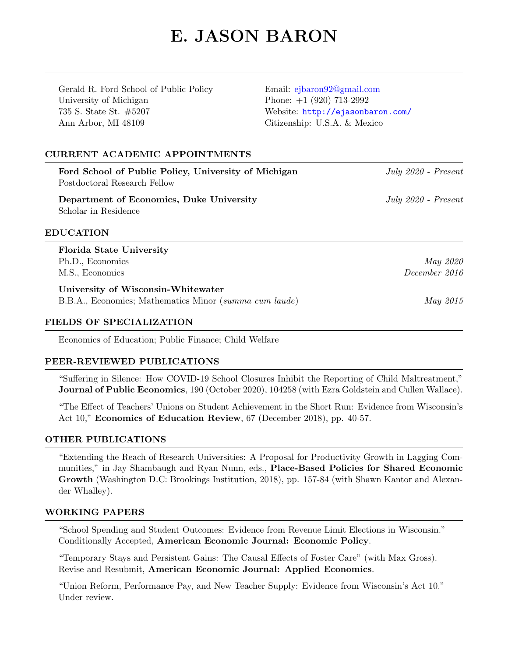# E. JASON BARON

Gerald R. Ford School of Public Policy University of Michigan 735 S. State St. #5207 Ann Arbor, MI 48109

Email: [ejbaron92@gmail.com](mailto:ejbaron92@gmail.com) Phone: +1 (920) 713-2992 Website: <http://ejasonbaron.com/> Citizenship: U.S.A. & Mexico

# CURRENT ACADEMIC APPOINTMENTS

| Ford School of Public Policy, University of Michigan<br>Postdoctoral Research Fellow | July $2020$ - Present |
|--------------------------------------------------------------------------------------|-----------------------|
| Department of Economics, Duke University<br>Scholar in Residence                     | $July 2020 - Present$ |
| <b>EDUCATION</b>                                                                     |                       |
| <b>Florida State University</b>                                                      |                       |
| Ph.D., Economics                                                                     | May 2020              |
| M.S., Economics                                                                      | December 2016         |
| University of Wisconsin-Whitewater                                                   |                       |
| B.B.A., Economics; Mathematics Minor (summa cum laude)                               | <i>May 2015</i>       |
|                                                                                      |                       |

#### FIELDS OF SPECIALIZATION

Economics of Education; Public Finance; Child Welfare

# PEER-REVIEWED PUBLICATIONS

"Suffering in Silence: How COVID-19 School Closures Inhibit the Reporting of Child Maltreatment," Journal of Public Economics, 190 (October 2020), 104258 (with Ezra Goldstein and Cullen Wallace).

"The Effect of Teachers' Unions on Student Achievement in the Short Run: Evidence from Wisconsin's Act 10," Economics of Education Review, 67 (December 2018), pp. 40-57.

# OTHER PUBLICATIONS

"Extending the Reach of Research Universities: A Proposal for Productivity Growth in Lagging Communities," in Jay Shambaugh and Ryan Nunn, eds., Place-Based Policies for Shared Economic Growth (Washington D.C: Brookings Institution, 2018), pp. 157-84 (with Shawn Kantor and Alexander Whalley).

#### WORKING PAPERS

"School Spending and Student Outcomes: Evidence from Revenue Limit Elections in Wisconsin." Conditionally Accepted, American Economic Journal: Economic Policy.

"Temporary Stays and Persistent Gains: The Causal Effects of Foster Care" (with Max Gross). Revise and Resubmit, American Economic Journal: Applied Economics.

"Union Reform, Performance Pay, and New Teacher Supply: Evidence from Wisconsin's Act 10." Under review.